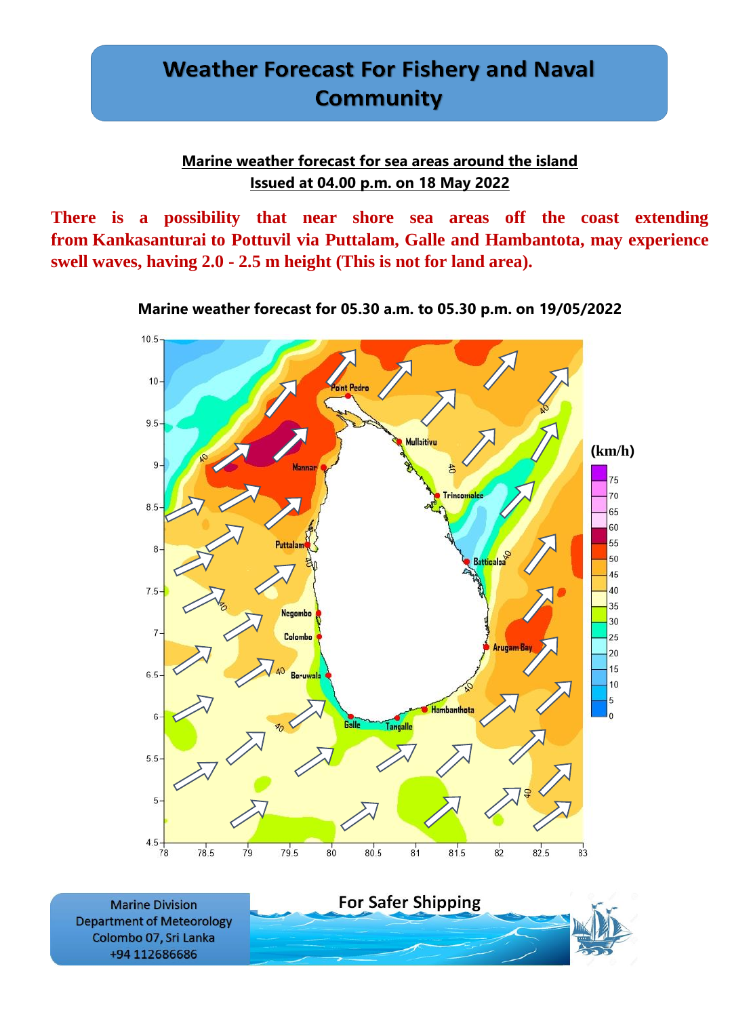### **Marine weather forecast for sea areas around the island Issued at 04.00 p.m. on 18 May 2022**

**There is a possibility that near shore sea areas off the coast extending from Kankasanturai to Pottuvil via Puttalam, Galle and Hambantota, may experience swell waves, having 2.0 - 2.5 m height (This is not for land area).**



**Marine weather forecast for 05.30 a.m. to 05.30 p.m. on 19/05/2022**

**Marine Division Department of Meteorology** Colombo 07, Sri Lanka +94 112686686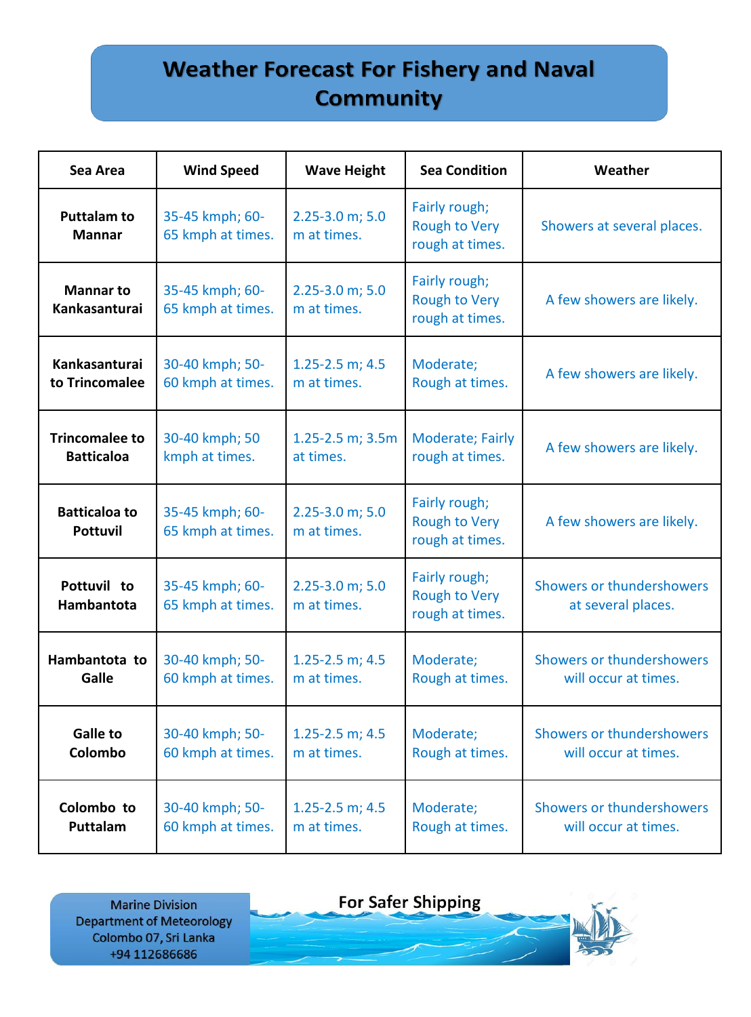| Sea Area                                | <b>Wind Speed</b>                    | <b>Wave Height</b>                   | <b>Sea Condition</b>                                     | Weather                                         |
|-----------------------------------------|--------------------------------------|--------------------------------------|----------------------------------------------------------|-------------------------------------------------|
| <b>Puttalam to</b><br><b>Mannar</b>     | 35-45 kmph; 60-<br>65 kmph at times. | $2.25 - 3.0$ m; $5.0$<br>m at times. | Fairly rough;<br><b>Rough to Very</b><br>rough at times. | Showers at several places.                      |
| <b>Mannar to</b><br>Kankasanturai       | 35-45 kmph; 60-<br>65 kmph at times. | $2.25 - 3.0$ m; $5.0$<br>m at times. | Fairly rough;<br><b>Rough to Very</b><br>rough at times. | A few showers are likely.                       |
| Kankasanturai                           | 30-40 kmph; 50-                      | $1.25 - 2.5$ m; 4.5                  | Moderate;                                                | A few showers are likely.                       |
| to Trincomalee                          | 60 kmph at times.                    | m at times.                          | Rough at times.                                          |                                                 |
| <b>Trincomalee to</b>                   | 30-40 kmph; 50                       | $1.25 - 2.5$ m; $3.5m$               | <b>Moderate; Fairly</b>                                  | A few showers are likely.                       |
| <b>Batticaloa</b>                       | kmph at times.                       | at times.                            | rough at times.                                          |                                                 |
| <b>Batticaloa to</b><br><b>Pottuvil</b> | 35-45 kmph; 60-<br>65 kmph at times. | $2.25 - 3.0$ m; $5.0$<br>m at times. | Fairly rough;<br><b>Rough to Very</b><br>rough at times. | A few showers are likely.                       |
| Pottuvil to<br>Hambantota               | 35-45 kmph; 60-<br>65 kmph at times. | $2.25 - 3.0$ m; $5.0$<br>m at times. | Fairly rough;<br><b>Rough to Very</b><br>rough at times. | Showers or thundershowers<br>at several places. |
| Hambantota to                           | 30-40 kmph; 50-                      | $1.25 - 2.5$ m; 4.5                  | Moderate;                                                | Showers or thundershowers                       |
| Galle                                   | 60 kmph at times.                    | m at times.                          | Rough at times.                                          | will occur at times.                            |
| <b>Galle to</b>                         | 30-40 kmph; 50-                      | 1.25-2.5 m; $4.5$                    | Moderate;                                                | Showers or thundershowers                       |
| Colombo                                 | 60 kmph at times.                    | m at times.                          | Rough at times.                                          | will occur at times.                            |
| Colombo to                              | 30-40 kmph; 50-                      | $1.25 - 2.5$ m; 4.5                  | Moderate;                                                | Showers or thundershowers                       |
| Puttalam                                | 60 kmph at times.                    | m at times.                          | Rough at times.                                          | will occur at times.                            |

**Marine Division Department of Meteorology** Colombo 07, Sri Lanka +94 112686686

**For Safer Shipping**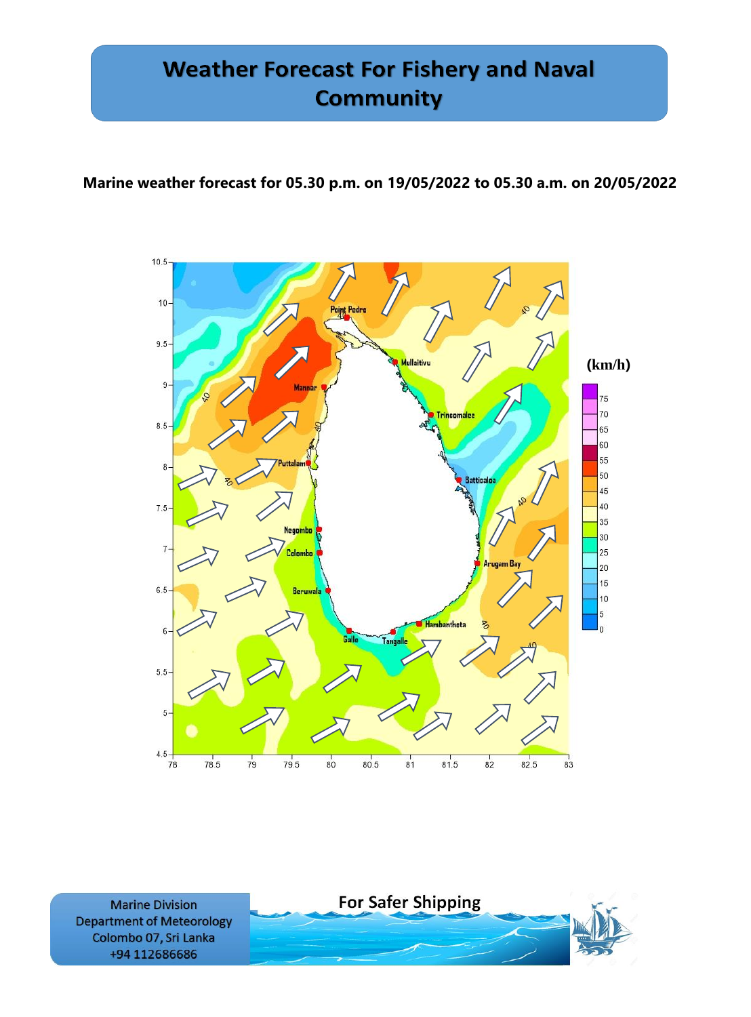### **Marine weather forecast for 05.30 p.m. on 19/05/2022 to 05.30 a.m. on 20/05/2022**



**Marine Division Department of Meteorology** Colombo 07, Sri Lanka +94 112686686